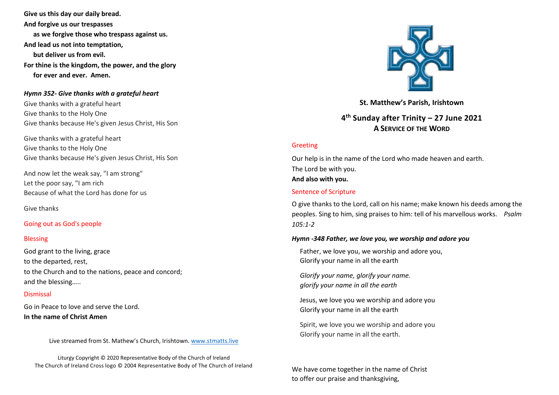**Give us this day our daily bread. And forgive us our trespasses as we forgive those who trespass against us. And lead us not into temptation, but deliver us from evil. For thine is the kingdom, the power, and the glory for ever and ever. Amen.**

### *Hymn 352- Give thanks with a grateful heart*

Give thanks with a grateful heart Give thanks to the Holy One Give thanks because He's given Jesus Christ, His Son

Give thanks with a grateful heart Give thanks to the Holy One Give thanks because He's given Jesus Christ, His Son

And now let the weak say, "I am strong" Let the poor say, "I am rich Because of what the Lord has done for us

Give thanks

## Going out as God's people

#### Blessing

God grant to the living, grace to the departed, rest, to the Church and to the nations, peace and concord; and the blessing…..

# Dismissal

Go in Peace to love and serve the Lord. **In the name of Christ Amen**

Live streamed from St. Mathew's Church, Irishtown. [www.stmatts.live](about:blank)

Liturgy Copyright © 2020 Representative Body of the Church of Ireland The Church of Ireland Cross logo © 2004 Representative Body of The Church of Ireland



**St. Matthew's Parish, Irishtown**

**4 th Sunday after Trinity – 27 June 2021 A SERVICE OF THE WORD**

## Greeting

Our help is in the name of the Lord who made heaven and earth. The Lord be with you.

### **And also with you.**

## Sentence of Scripture

O give thanks to the Lord, call on his name; make known his deeds among the peoples. Sing to him, sing praises to him: tell of his marvellous works. *Psalm 105:1-2* 

#### *Hymn -348 Father, we love you, we worship and adore you*

Father, we love you, we worship and adore you, Glorify your name in all the earth

*Glorify your name, glorify your name. glorify your name in all the earth*

Jesus, we love you we worship and adore you Glorify your name in all the earth

Spirit, we love you we worship and adore you Glorify your name in all the earth.

We have come together in the name of Christ to offer our praise and thanksgiving,